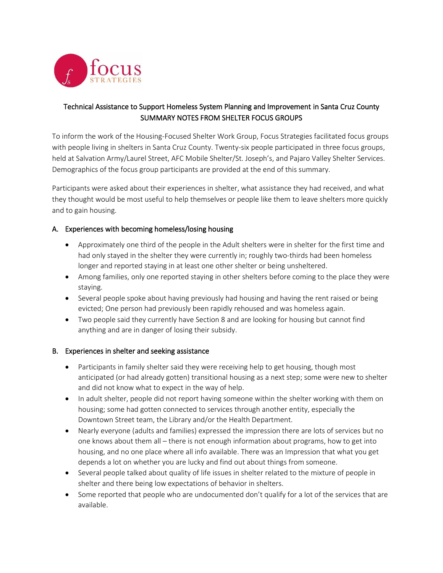

## Technical Assistance to Support Homeless System Planning and Improvement in Santa Cruz County SUMMARY NOTES FROM SHELTER FOCUS GROUPS

To inform the work of the Housing-Focused Shelter Work Group, Focus Strategies facilitated focus groups with people living in shelters in Santa Cruz County. Twenty-six people participated in three focus groups, held at Salvation Army/Laurel Street, AFC Mobile Shelter/St. Joseph's, and Pajaro Valley Shelter Services. Demographics of the focus group participants are provided at the end of this summary.

Participants were asked about their experiences in shelter, what assistance they had received, and what they thought would be most useful to help themselves or people like them to leave shelters more quickly and to gain housing.

## A. Experiences with becoming homeless/losing housing

- Approximately one third of the people in the Adult shelters were in shelter for the first time and had only stayed in the shelter they were currently in; roughly two-thirds had been homeless longer and reported staying in at least one other shelter or being unsheltered.
- Among families, only one reported staying in other shelters before coming to the place they were staying.
- Several people spoke about having previously had housing and having the rent raised or being evicted; One person had previously been rapidly rehoused and was homeless again.
- Two people said they currently have Section 8 and are looking for housing but cannot find anything and are in danger of losing their subsidy.

## B. Experiences in shelter and seeking assistance

- Participants in family shelter said they were receiving help to get housing, though most anticipated (or had already gotten) transitional housing as a next step; some were new to shelter and did not know what to expect in the way of help.
- In adult shelter, people did not report having someone within the shelter working with them on housing; some had gotten connected to services through another entity, especially the Downtown Street team, the Library and/or the Health Department.
- Nearly everyone (adults and families) expressed the impression there are lots of services but no one knows about them all – there is not enough information about programs, how to get into housing, and no one place where all info available. There was an Impression that what you get depends a lot on whether you are lucky and find out about things from someone.
- Several people talked about quality of life issues in shelter related to the mixture of people in shelter and there being low expectations of behavior in shelters.
- Some reported that people who are undocumented don't qualify for a lot of the services that are available.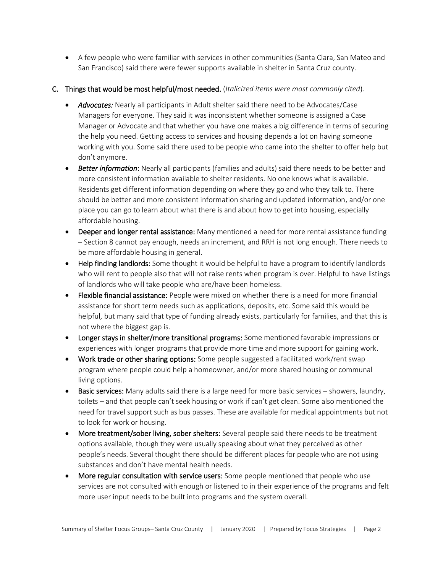- A few people who were familiar with services in other communities (Santa Clara, San Mateo and San Francisco) said there were fewer supports available in shelter in Santa Cruz county.
- C. Things that would be most helpful/most needed. (*Italicized items were most commonly cited*).
	- *Advocates:* Nearly all participants in Adult shelter said there need to be Advocates/Case Managers for everyone. They said it was inconsistent whether someone is assigned a Case Manager or Advocate and that whether you have one makes a big difference in terms of securing the help you need. Getting access to services and housing depends a lot on having someone working with you. Some said there used to be people who came into the shelter to offer help but don't anymore.
	- *Better information*: Nearly all participants (families and adults) said there needs to be better and more consistent information available to shelter residents. No one knows what is available. Residents get different information depending on where they go and who they talk to. There should be better and more consistent information sharing and updated information, and/or one place you can go to learn about what there is and about how to get into housing, especially affordable housing.
	- Deeper and longer rental assistance: Many mentioned a need for more rental assistance funding – Section 8 cannot pay enough, needs an increment, and RRH is not long enough. There needs to be more affordable housing in general.
	- Help finding landlords: Some thought it would be helpful to have a program to identify landlords who will rent to people also that will not raise rents when program is over. Helpful to have listings of landlords who will take people who are/have been homeless.
	- Flexible financial assistance: People were mixed on whether there is a need for more financial assistance for short term needs such as applications, deposits, etc. Some said this would be helpful, but many said that type of funding already exists, particularly for families, and that this is not where the biggest gap is.
	- Longer stays in shelter/more transitional programs: Some mentioned favorable impressions or experiences with longer programs that provide more time and more support for gaining work.
	- Work trade or other sharing options: Some people suggested a facilitated work/rent swap program where people could help a homeowner, and/or more shared housing or communal living options.
	- Basic services: Many adults said there is a large need for more basic services showers, laundry, toilets – and that people can't seek housing or work if can't get clean. Some also mentioned the need for travel support such as bus passes. These are available for medical appointments but not to look for work or housing.
	- More treatment/sober living, sober shelters: Several people said there needs to be treatment options available, though they were usually speaking about what they perceived as other people's needs. Several thought there should be different places for people who are not using substances and don't have mental health needs.
	- More regular consultation with service users: Some people mentioned that people who use services are not consulted with enough or listened to in their experience of the programs and felt more user input needs to be built into programs and the system overall.